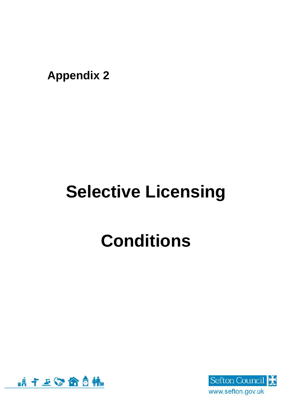**Appendix 2**

# **Selective Licensing**

# **Conditions**



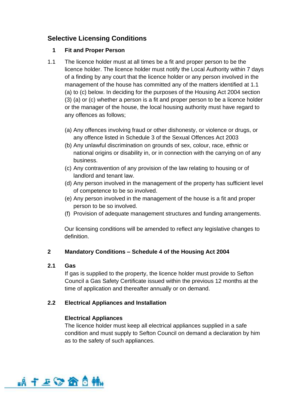# **Selective Licensing Conditions**

# **1 Fit and Proper Person**

- 1.1 The licence holder must at all times be a fit and proper person to be the licence holder. The licence holder must notify the Local Authority within 7 days of a finding by any court that the licence holder or any person involved in the management of the house has committed any of the matters identified at 1.1 (a) to (c) below. In deciding for the purposes of the Housing Act 2004 section (3) (a) or (c) whether a person is a fit and proper person to be a licence holder or the manager of the house, the local housing authority must have regard to any offences as follows;
	- (a) Any offences involving fraud or other dishonesty, or violence or drugs, or any offence listed in Schedule 3 of the Sexual Offences Act 2003
	- (b) Any unlawful discrimination on grounds of sex, colour, race, ethnic or national origins or disability in, or in connection with the carrying on of any business.
	- (c) Any contravention of any provision of the law relating to housing or of landlord and tenant law.
	- (d) Any person involved in the management of the property has sufficient level of competence to be so involved.
	- (e) Any person involved in the management of the house is a fit and proper person to be so involved.
	- (f) Provision of adequate management structures and funding arrangements.

Our licensing conditions will be amended to reflect any legislative changes to definition.

# **2 Mandatory Conditions – Schedule 4 of the Housing Act 2004**

# **2.1 Gas**

If gas is supplied to the property, the licence holder must provide to Sefton Council a Gas Safety Certificate issued within the previous 12 months at the time of application and thereafter annually or on demand.

# **2.2 Electrical Appliances and Installation**

# **Electrical Appliances**

The licence holder must keep all electrical appliances supplied in a safe condition and must supply to Sefton Council on demand a declaration by him as to the safety of such appliances.

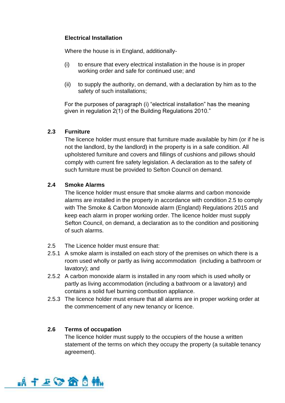# **Electrical Installation**

Where the house is in England, additionally-

- (i) to ensure that every electrical installation in the house is in proper working order and safe for continued use; and
- (ii) to supply the authority, on demand, with a declaration by him as to the safety of such installations;

For the purposes of paragraph (i) "electrical installation" has the meaning given in regulation 2(1) of the Building Regulations 2010."

# **2.3 Furniture**

The licence holder must ensure that furniture made available by him (or if he is not the landlord, by the landlord) in the property is in a safe condition. All upholstered furniture and covers and fillings of cushions and pillows should comply with current fire safety legislation. A declaration as to the safety of such furniture must be provided to Sefton Council on demand.

# **2.4 Smoke Alarms**

The licence holder must ensure that smoke alarms and carbon monoxide alarms are installed in the property in accordance with condition 2.5 to comply with The Smoke & Carbon Monoxide alarm (England) Regulations 2015 and keep each alarm in proper working order. The licence holder must supply Sefton Council, on demand, a declaration as to the condition and positioning of such alarms.

- 2.5 The Licence holder must ensure that:
- 2.5.1 A smoke alarm is installed on each story of the premises on which there is a room used wholly or partly as living accommodation (including a bathroom or lavatory); and
- 2.5.2 A carbon monoxide alarm is installed in any room which is used wholly or partly as living accommodation (including a bathroom or a lavatory) and contains a solid fuel burning combustion appliance.
- 2.5.3 The licence holder must ensure that all alarms are in proper working order at the commencement of any new tenancy or licence.

# **2.6 Terms of occupation**

The licence holder must supply to the occupiers of the house a written statement of the terms on which they occupy the property (a suitable tenancy agreement).

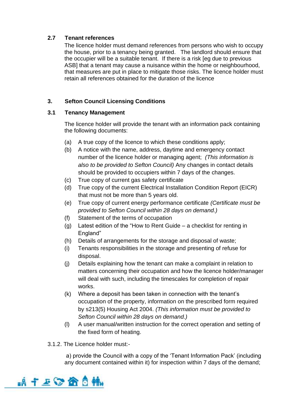# **2.7 Tenant references**

The licence holder must demand references from persons who wish to occupy the house, prior to a tenancy being granted. The landlord should ensure that the occupier will be a suitable tenant. If there is a risk [eg due to previous ASB] that a tenant may cause a nuisance within the home or neighbourhood, that measures are put in place to mitigate those risks. The licence holder must retain all references obtained for the duration of the licence

# **3. Sefton Council Licensing Conditions**

# **3.1 Tenancy Management**

The licence holder will provide the tenant with an information pack containing the following documents:

- (a) A true copy of the licence to which these conditions apply;
- (b) A notice with the name, address, daytime and emergency contact number of the licence holder or managing agent; *(This information is also to be provided to Sefton Council)* Any changes in contact details should be provided to occupiers within 7 days of the changes.
- (c) True copy of current gas safety certificate
- (d) True copy of the current Electrical Installation Condition Report (EICR) that must not be more than 5 years old.
- (e) True copy of current energy performance certificate *(Certificate must be provided to Sefton Council within 28 days on demand.)*
- (f) Statement of the terms of occupation
- (g) Latest edition of the "How to Rent Guide a checklist for renting in England"
- (h) Details of arrangements for the storage and disposal of waste;
- (i) Tenants responsibilities in the storage and presenting of refuse for disposal.
- (j) Details explaining how the tenant can make a complaint in relation to matters concerning their occupation and how the licence holder/manager will deal with such, including the timescales for completion of repair works.
- (k) Where a deposit has been taken in connection with the tenant's occupation of the property, information on the prescribed form required by s213(5) Housing Act 2004. *(This information must be provided to Sefton Council within 28 days on demand.)*
- (l) A user manual/written instruction for the correct operation and setting of the fixed form of heating.
- 3.1.2. The Licence holder must:-

a) provide the Council with a copy of the 'Tenant Information Pack' (including any document contained within it) for inspection within 7 days of the demand;

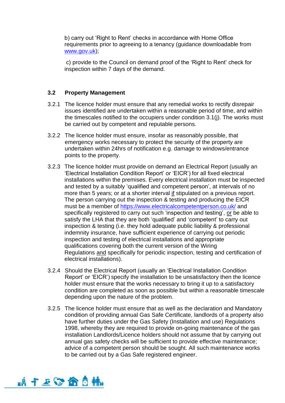b) carry out 'Right to Rent' checks in accordance with Home Office requirements prior to agreeing to a tenancy (guidance downloadable from [www.gov.uk\)](http://www.gov.uk/);

c) provide to the Council on demand proof of the 'Right to Rent' check for inspection within 7 days of the demand.

#### **3.2 Property Management**

- 3.2.1 The licence holder must ensure that any remedial works to rectify disrepair issues identified are undertaken within a reasonable period of time, and within the timescales notified to the occupiers under condition 3.1(j). The works must be carried out by competent and reputable persons.
- 3.2.2 The licence holder must ensure, insofar as reasonably possible, that emergency works necessary to protect the security of the property are undertaken within 24hrs of notification e.g. damage to windows/entrance points to the property.
- 3.2.3 The licence holder must provide on demand an Electrical Report (usually an 'Electrical Installation Condition Report' or 'EICR') for all fixed electrical installations within the premises. Every electrical installation must be inspected and tested by a suitably 'qualified and competent person', at intervals of no more than 5 years; or at a shorter interval if stipulated on a previous report. The person carrying out the inspection & testing and producing the EICR must be a member of <https://www.electricalcompetentperson.co.uk/> and specifically registered to carry out such 'inspection and testing', or be able to satisfy the LHA that they are both 'qualified' and 'competent' to carry out inspection & testing (i.e. they hold adequate public liability & professional indemnity insurance, have sufficient experience of carrying out periodic inspection and testing of electrical installations and appropriate qualifications covering both the current version of the Wiring Regulations and specifically for periodic inspection, testing and certification of electrical installations).
- 3.2.4 Should the Electrical Report (usually an 'Electrical Installation Condition Report' or 'EICR') specify the installation to be unsatisfactory then the licence holder must ensure that the works necessary to bring it up to a satisfactory condition are completed as soon as possible but within a reasonable timescale depending upon the nature of the problem.
- 3.2.5 The licence holder must ensure that as well as the declaration and Mandatory condition of providing annual Gas Safe Certificate, landlords of a property also have further duties under the Gas Safety (Installation and use) Regulations 1998, whereby they are required to provide on-going maintenance of the gas installation Landlords/Licence holders should not assume that by carrying out annual gas safety checks will be sufficient to provide effective maintenance; advice of a competent person should be sought. All such maintenance works to be carried out by a Gas Safe registered engineer.

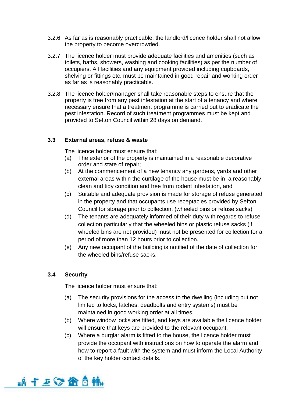- 3.2.6 As far as is reasonably practicable, the landlord/licence holder shall not allow the property to become overcrowded.
- 3.2.7 The licence holder must provide adequate facilities and amenities (such as toilets, baths, showers, washing and cooking facilities) as per the number of occupiers. All facilities and any equipment provided including cupboards, shelving or fittings etc. must be maintained in good repair and working order as far as is reasonably practicable.
- 3.2.8 The licence holder/manager shall take reasonable steps to ensure that the property is free from any pest infestation at the start of a tenancy and where necessary ensure that a treatment programme is carried out to eradicate the pest infestation. Record of such treatment programmes must be kept and provided to Sefton Council within 28 days on demand.

## **3.3 External areas, refuse & waste**

The licence holder must ensure that:

- (a) The exterior of the property is maintained in a reasonable decorative order and state of repair;
- (b) At the commencement of a new tenancy any gardens, yards and other external areas within the curtilage of the house must be in a reasonably clean and tidy condition and free from rodent infestation, and
- (c) Suitable and adequate provision is made for storage of refuse generated in the property and that occupants use receptacles provided by Sefton Council for storage prior to collection. (wheeled bins or refuse sacks)
- (d) The tenants are adequately informed of their duty with regards to refuse collection particularly that the wheeled bins or plastic refuse sacks (if wheeled bins are not provided) must not be presented for collection for a period of more than 12 hours prior to collection.
- (e) Any new occupant of the building is notified of the date of collection for the wheeled bins/refuse sacks.

# **3.4 Security**

The licence holder must ensure that:

- (a) The security provisions for the access to the dwelling (including but not limited to locks, latches, deadbolts and entry systems) must be maintained in good working order at all times.
- (b) Where window locks are fitted, and keys are available the licence holder will ensure that keys are provided to the relevant occupant.
- (c) Where a burglar alarm is fitted to the house, the licence holder must provide the occupant with instructions on how to operate the alarm and how to report a fault with the system and must inform the Local Authority of the key holder contact details.

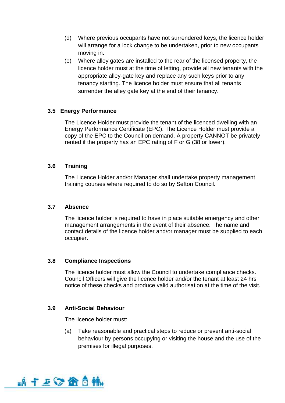- (d) Where previous occupants have not surrendered keys, the licence holder will arrange for a lock change to be undertaken, prior to new occupants moving in.
- (e) Where alley gates are installed to the rear of the licensed property, the licence holder must at the time of letting, provide all new tenants with the appropriate alley-gate key and replace any such keys prior to any tenancy starting. The licence holder must ensure that all tenants surrender the alley gate key at the end of their tenancy.

#### **3.5 Energy Performance**

The Licence Holder must provide the tenant of the licenced dwelling with an Energy Performance Certificate (EPC). The Licence Holder must provide a copy of the EPC to the Council on demand. A property CANNOT be privately rented if the property has an EPC rating of F or G (38 or lower).

## **3.6 Training**

The Licence Holder and/or Manager shall undertake property management training courses where required to do so by Sefton Council.

#### **3.7 Absence**

The licence holder is required to have in place suitable emergency and other management arrangements in the event of their absence. The name and contact details of the licence holder and/or manager must be supplied to each occupier.

#### **3.8 Compliance Inspections**

The licence holder must allow the Council to undertake compliance checks. Council Officers will give the licence holder and/or the tenant at least 24 hrs notice of these checks and produce valid authorisation at the time of the visit.

# **3.9 Anti-Social Behaviour**

The licence holder must:

(a) Take reasonable and practical steps to reduce or prevent anti-social behaviour by persons occupying or visiting the house and the use of the premises for illegal purposes.

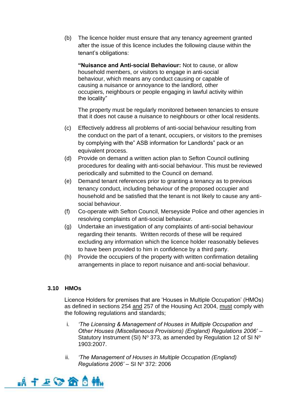(b) The licence holder must ensure that any tenancy agreement granted after the issue of this licence includes the following clause within the tenant's obligations:

**"Nuisance and Anti-social Behaviour:** Not to cause, or allow household members, or visitors to engage in anti-social behaviour, which means any conduct causing or capable of causing a nuisance or annoyance to the landlord, other occupiers, neighbours or people engaging in lawful activity within the locality"

The property must be regularly monitored between tenancies to ensure that it does not cause a nuisance to neighbours or other local residents.

- (c) Effectively address all problems of anti-social behaviour resulting from the conduct on the part of a tenant, occupiers, or visitors to the premises by complying with the" ASB information for Landlords" pack or an equivalent process.
- (d) Provide on demand a written action plan to Sefton Council outlining procedures for dealing with anti-social behaviour. This must be reviewed periodically and submitted to the Council on demand.
- (e) Demand tenant references prior to granting a tenancy as to previous tenancy conduct, including behaviour of the proposed occupier and household and be satisfied that the tenant is not likely to cause any antisocial behaviour.
- (f) Co-operate with Sefton Council, Merseyside Police and other agencies in resolving complaints of anti-social behaviour.
- (g) Undertake an investigation of any complaints of anti-social behaviour regarding their tenants. Written records of these will be required excluding any information which the licence holder reasonably believes to have been provided to him in confidence by a third party.
- (h) Provide the occupiers of the property with written confirmation detailing arrangements in place to report nuisance and anti-social behaviour.

# **3.10 HMOs**

Licence Holders for premises that are 'Houses in Multiple Occupation' (HMOs) as defined in sections 254 and 257 of the Housing Act 2004, must comply with the following regulations and standards;

- i. *'The Licensing & Management of Houses in Multiple Occupation and Other Houses (Miscellaneous Provisions) (England) Regulations 2006'* – Statutory Instrument (SI)  $N^{\circ}$  373, as amended by Regulation 12 of SI  $N^{\circ}$ 1903:2007.
- ii. *'The Management of Houses in Multiple Occupation (England) Regulations 2006' – SI Nº 372: 2006*